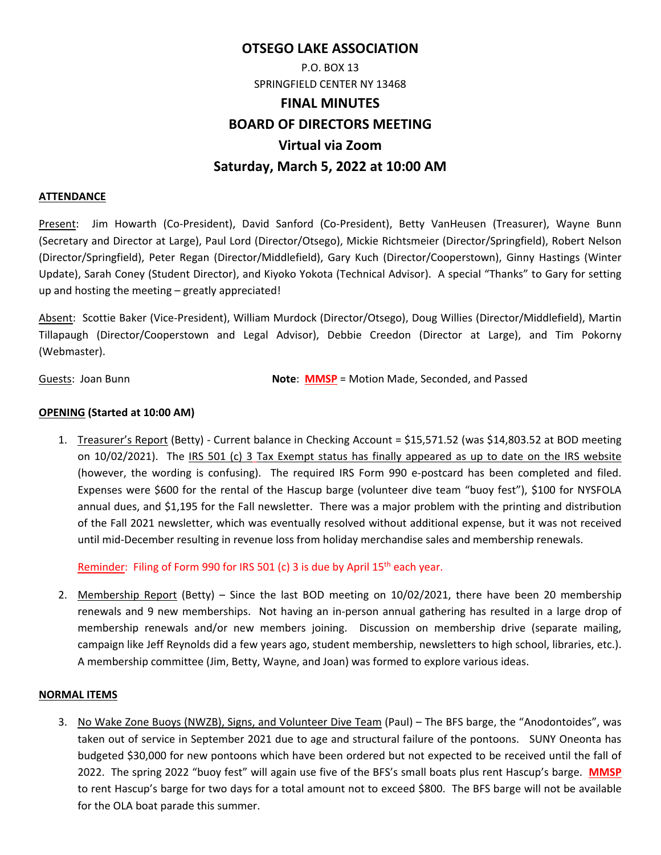# **OTSEGO LAKE ASSOCIATION**

# P.O. BOX 13 SPRINGFIELD CENTER NY 13468 **FINAL MINUTES BOARD OF DIRECTORS MEETING Virtual via Zoom Saturday, March 5, 2022 at 10:00 AM**

### **ATTENDANCE**

Present: Jim Howarth (Co‐President), David Sanford (Co‐President), Betty VanHeusen (Treasurer), Wayne Bunn (Secretary and Director at Large), Paul Lord (Director/Otsego), Mickie Richtsmeier (Director/Springfield), Robert Nelson (Director/Springfield), Peter Regan (Director/Middlefield), Gary Kuch (Director/Cooperstown), Ginny Hastings (Winter Update), Sarah Coney (Student Director), and Kiyoko Yokota (Technical Advisor). A special "Thanks" to Gary for setting up and hosting the meeting – greatly appreciated!

Absent: Scottie Baker (Vice‐President), William Murdock (Director/Otsego), Doug Willies (Director/Middlefield), Martin Tillapaugh (Director/Cooperstown and Legal Advisor), Debbie Creedon (Director at Large), and Tim Pokorny (Webmaster).

Guests: Joan Bunn **Note: MMSP** = Motion Made, Seconded, and Passed

## **OPENING (Started at 10:00 AM)**

1. Treasurer's Report (Betty) - Current balance in Checking Account = \$15,571.52 (was \$14,803.52 at BOD meeting on 10/02/2021). The IRS 501 (c) 3 Tax Exempt status has finally appeared as up to date on the IRS website (however, the wording is confusing). The required IRS Form 990 e-postcard has been completed and filed. Expenses were \$600 for the rental of the Hascup barge (volunteer dive team "buoy fest"), \$100 for NYSFOLA annual dues, and \$1,195 for the Fall newsletter. There was a major problem with the printing and distribution of the Fall 2021 newsletter, which was eventually resolved without additional expense, but it was not received until mid‐December resulting in revenue loss from holiday merchandise sales and membership renewals.

Reminder: Filing of Form 990 for IRS 501 (c) 3 is due by April 15<sup>th</sup> each year.

2. Membership Report (Betty) – Since the last BOD meeting on  $10/02/2021$ , there have been 20 membership renewals and 9 new memberships. Not having an in‐person annual gathering has resulted in a large drop of membership renewals and/or new members joining. Discussion on membership drive (separate mailing, campaign like Jeff Reynolds did a few years ago, student membership, newsletters to high school, libraries, etc.). A membership committee (Jim, Betty, Wayne, and Joan) was formed to explore various ideas.

## **NORMAL ITEMS**

3. No Wake Zone Buoys (NWZB), Signs, and Volunteer Dive Team (Paul) – The BFS barge, the "Anodontoides", was taken out of service in September 2021 due to age and structural failure of the pontoons. SUNY Oneonta has budgeted \$30,000 for new pontoons which have been ordered but not expected to be received until the fall of 2022. The spring 2022 "buoy fest" will again use five of the BFS's small boats plus rent Hascup's barge. **MMSP** to rent Hascup's barge for two days for a total amount not to exceed \$800. The BFS barge will not be available for the OLA boat parade this summer.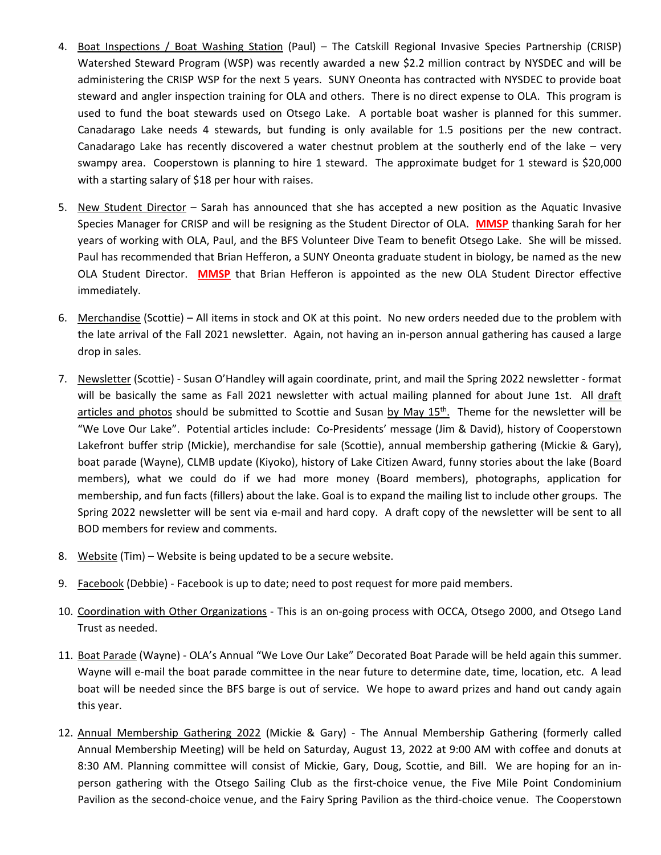- 4. Boat Inspections / Boat Washing Station (Paul) The Catskill Regional Invasive Species Partnership (CRISP) Watershed Steward Program (WSP) was recently awarded a new \$2.2 million contract by NYSDEC and will be administering the CRISP WSP for the next 5 years. SUNY Oneonta has contracted with NYSDEC to provide boat steward and angler inspection training for OLA and others. There is no direct expense to OLA. This program is used to fund the boat stewards used on Otsego Lake. A portable boat washer is planned for this summer. Canadarago Lake needs 4 stewards, but funding is only available for 1.5 positions per the new contract. Canadarago Lake has recently discovered a water chestnut problem at the southerly end of the lake  $-$  very swampy area. Cooperstown is planning to hire 1 steward. The approximate budget for 1 steward is \$20,000 with a starting salary of \$18 per hour with raises.
- 5. New Student Director Sarah has announced that she has accepted a new position as the Aquatic Invasive Species Manager for CRISP and will be resigning as the Student Director of OLA. **MMSP** thanking Sarah for her years of working with OLA, Paul, and the BFS Volunteer Dive Team to benefit Otsego Lake. She will be missed. Paul has recommended that Brian Hefferon, a SUNY Oneonta graduate student in biology, be named as the new OLA Student Director. **MMSP** that Brian Hefferon is appointed as the new OLA Student Director effective immediately.
- 6. Merchandise (Scottie) All items in stock and OK at this point. No new orders needed due to the problem with the late arrival of the Fall 2021 newsletter. Again, not having an in‐person annual gathering has caused a large drop in sales.
- 7. Newsletter (Scottie) ‐ Susan O'Handley will again coordinate, print, and mail the Spring 2022 newsletter ‐ format will be basically the same as Fall 2021 newsletter with actual mailing planned for about June 1st. All draft articles and photos should be submitted to Scottie and Susan by May  $15<sup>th</sup>$ . Theme for the newsletter will be "We Love Our Lake". Potential articles include: Co‐Presidents' message (Jim & David), history of Cooperstown Lakefront buffer strip (Mickie), merchandise for sale (Scottie), annual membership gathering (Mickie & Gary), boat parade (Wayne), CLMB update (Kiyoko), history of Lake Citizen Award, funny stories about the lake (Board members), what we could do if we had more money (Board members), photographs, application for membership, and fun facts (fillers) about the lake. Goal is to expand the mailing list to include other groups. The Spring 2022 newsletter will be sent via e-mail and hard copy. A draft copy of the newsletter will be sent to all BOD members for review and comments.
- 8. Website (Tim) Website is being updated to be a secure website.
- 9. Facebook (Debbie) Facebook is up to date; need to post request for more paid members.
- 10. Coordination with Other Organizations This is an on-going process with OCCA, Otsego 2000, and Otsego Land Trust as needed.
- 11. Boat Parade (Wayne) ‐ OLA's Annual "We Love Our Lake" Decorated Boat Parade will be held again this summer. Wayne will e-mail the boat parade committee in the near future to determine date, time, location, etc. A lead boat will be needed since the BFS barge is out of service. We hope to award prizes and hand out candy again this year.
- 12. Annual Membership Gathering 2022 (Mickie & Gary) ‐ The Annual Membership Gathering (formerly called Annual Membership Meeting) will be held on Saturday, August 13, 2022 at 9:00 AM with coffee and donuts at 8:30 AM. Planning committee will consist of Mickie, Gary, Doug, Scottie, and Bill. We are hoping for an inperson gathering with the Otsego Sailing Club as the first-choice venue, the Five Mile Point Condominium Pavilion as the second‐choice venue, and the Fairy Spring Pavilion as the third‐choice venue. The Cooperstown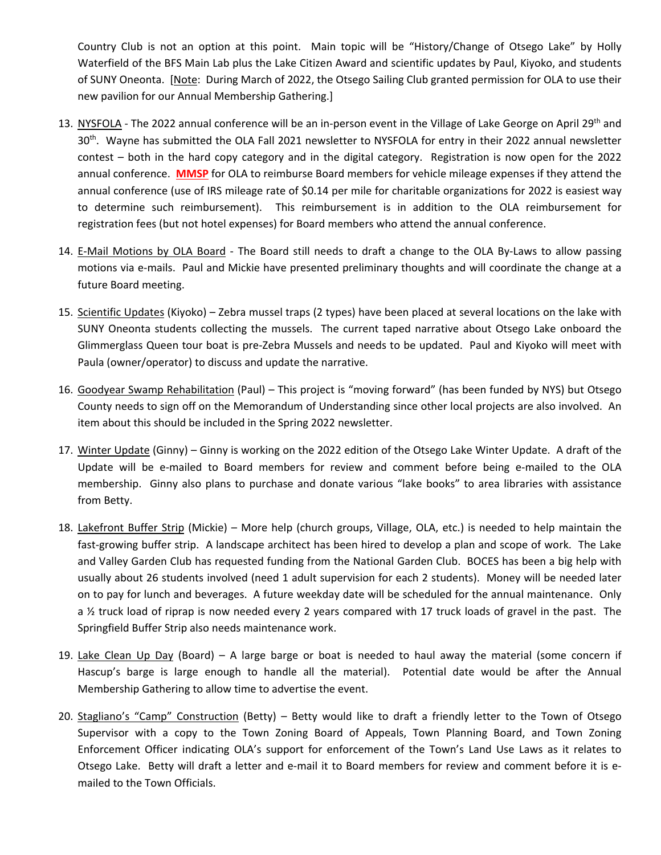Country Club is not an option at this point. Main topic will be "History/Change of Otsego Lake" by Holly Waterfield of the BFS Main Lab plus the Lake Citizen Award and scientific updates by Paul, Kiyoko, and students of SUNY Oneonta. [Note: During March of 2022, the Otsego Sailing Club granted permission for OLA to use their new pavilion for our Annual Membership Gathering.]

- 13. NYSFOLA The 2022 annual conference will be an in-person event in the Village of Lake George on April 29<sup>th</sup> and 30<sup>th</sup>. Wayne has submitted the OLA Fall 2021 newsletter to NYSFOLA for entry in their 2022 annual newsletter contest – both in the hard copy category and in the digital category. Registration is now open for the 2022 annual conference. **MMSP** for OLA to reimburse Board members for vehicle mileage expenses if they attend the annual conference (use of IRS mileage rate of \$0.14 per mile for charitable organizations for 2022 is easiest way to determine such reimbursement). This reimbursement is in addition to the OLA reimbursement for registration fees (but not hotel expenses) for Board members who attend the annual conference.
- 14. E-Mail Motions by OLA Board The Board still needs to draft a change to the OLA By-Laws to allow passing motions via e‐mails. Paul and Mickie have presented preliminary thoughts and will coordinate the change at a future Board meeting.
- 15. Scientific Updates (Kiyoko) Zebra mussel traps (2 types) have been placed at several locations on the lake with SUNY Oneonta students collecting the mussels. The current taped narrative about Otsego Lake onboard the Glimmerglass Queen tour boat is pre‐Zebra Mussels and needs to be updated. Paul and Kiyoko will meet with Paula (owner/operator) to discuss and update the narrative.
- 16. Goodyear Swamp Rehabilitation (Paul) This project is "moving forward" (has been funded by NYS) but Otsego County needs to sign off on the Memorandum of Understanding since other local projects are also involved. An item about this should be included in the Spring 2022 newsletter.
- 17. Winter Update (Ginny) Ginny is working on the 2022 edition of the Otsego Lake Winter Update. A draft of the Update will be e-mailed to Board members for review and comment before being e-mailed to the OLA membership. Ginny also plans to purchase and donate various "lake books" to area libraries with assistance from Betty.
- 18. Lakefront Buffer Strip (Mickie) More help (church groups, Village, OLA, etc.) is needed to help maintain the fast-growing buffer strip. A landscape architect has been hired to develop a plan and scope of work. The Lake and Valley Garden Club has requested funding from the National Garden Club. BOCES has been a big help with usually about 26 students involved (need 1 adult supervision for each 2 students). Money will be needed later on to pay for lunch and beverages. A future weekday date will be scheduled for the annual maintenance. Only a 1/2 truck load of riprap is now needed every 2 years compared with 17 truck loads of gravel in the past. The Springfield Buffer Strip also needs maintenance work.
- 19. Lake Clean Up Day (Board) A large barge or boat is needed to haul away the material (some concern if Hascup's barge is large enough to handle all the material). Potential date would be after the Annual Membership Gathering to allow time to advertise the event.
- 20. Stagliano's "Camp" Construction (Betty) Betty would like to draft a friendly letter to the Town of Otsego Supervisor with a copy to the Town Zoning Board of Appeals, Town Planning Board, and Town Zoning Enforcement Officer indicating OLA's support for enforcement of the Town's Land Use Laws as it relates to Otsego Lake. Betty will draft a letter and e‐mail it to Board members for review and comment before it is e‐ mailed to the Town Officials.